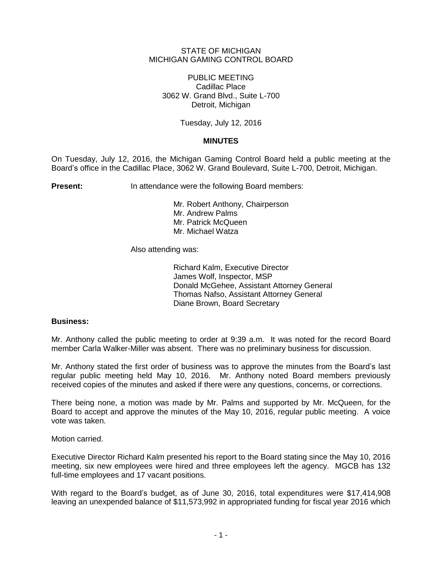## STATE OF MICHIGAN MICHIGAN GAMING CONTROL BOARD

PUBLIC MEETING Cadillac Place 3062 W. Grand Blvd., Suite L-700 Detroit, Michigan

Tuesday, July 12, 2016

# **MINUTES**

On Tuesday, July 12, 2016, the Michigan Gaming Control Board held a public meeting at the Board's office in the Cadillac Place, 3062 W. Grand Boulevard, Suite L-700, Detroit, Michigan.

**Present:** In attendance were the following Board members:

Mr. Robert Anthony, Chairperson Mr. Andrew Palms Mr. Patrick McQueen Mr. Michael Watza

Also attending was:

Richard Kalm, Executive Director James Wolf, Inspector, MSP Donald McGehee, Assistant Attorney General Thomas Nafso, Assistant Attorney General Diane Brown, Board Secretary

## **Business:**

Mr. Anthony called the public meeting to order at 9:39 a.m. It was noted for the record Board member Carla Walker-Miller was absent. There was no preliminary business for discussion.

Mr. Anthony stated the first order of business was to approve the minutes from the Board's last regular public meeting held May 10, 2016. Mr. Anthony noted Board members previously received copies of the minutes and asked if there were any questions, concerns, or corrections.

There being none, a motion was made by Mr. Palms and supported by Mr. McQueen, for the Board to accept and approve the minutes of the May 10, 2016, regular public meeting. A voice vote was taken.

Motion carried.

Executive Director Richard Kalm presented his report to the Board stating since the May 10, 2016 meeting, six new employees were hired and three employees left the agency. MGCB has 132 full-time employees and 17 vacant positions.

With regard to the Board's budget, as of June 30, 2016, total expenditures were \$17,414,908 leaving an unexpended balance of \$11,573,992 in appropriated funding for fiscal year 2016 which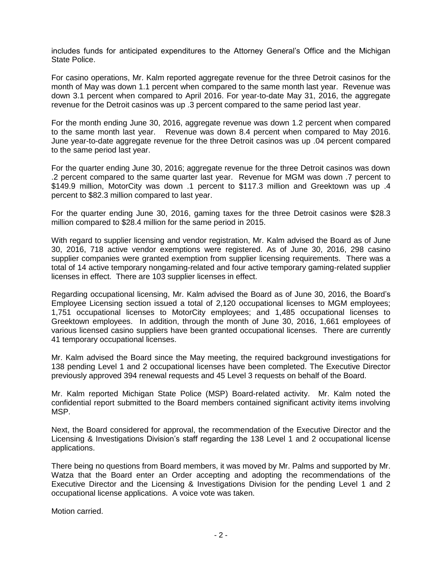includes funds for anticipated expenditures to the Attorney General's Office and the Michigan State Police.

For casino operations, Mr. Kalm reported aggregate revenue for the three Detroit casinos for the month of May was down 1.1 percent when compared to the same month last year. Revenue was down 3.1 percent when compared to April 2016. For year-to-date May 31, 2016, the aggregate revenue for the Detroit casinos was up .3 percent compared to the same period last year.

For the month ending June 30, 2016, aggregate revenue was down 1.2 percent when compared to the same month last year. Revenue was down 8.4 percent when compared to May 2016. June year-to-date aggregate revenue for the three Detroit casinos was up .04 percent compared to the same period last year.

For the quarter ending June 30, 2016; aggregate revenue for the three Detroit casinos was down .2 percent compared to the same quarter last year. Revenue for MGM was down .7 percent to \$149.9 million, MotorCity was down .1 percent to \$117.3 million and Greektown was up .4 percent to \$82.3 million compared to last year.

For the quarter ending June 30, 2016, gaming taxes for the three Detroit casinos were \$28.3 million compared to \$28.4 million for the same period in 2015.

With regard to supplier licensing and vendor registration, Mr. Kalm advised the Board as of June 30, 2016, 718 active vendor exemptions were registered. As of June 30, 2016, 298 casino supplier companies were granted exemption from supplier licensing requirements. There was a total of 14 active temporary nongaming-related and four active temporary gaming-related supplier licenses in effect. There are 103 supplier licenses in effect.

Regarding occupational licensing, Mr. Kalm advised the Board as of June 30, 2016, the Board's Employee Licensing section issued a total of 2,120 occupational licenses to MGM employees; 1,751 occupational licenses to MotorCity employees; and 1,485 occupational licenses to Greektown employees. In addition, through the month of June 30, 2016, 1,661 employees of various licensed casino suppliers have been granted occupational licenses. There are currently 41 temporary occupational licenses.

Mr. Kalm advised the Board since the May meeting, the required background investigations for 138 pending Level 1 and 2 occupational licenses have been completed. The Executive Director previously approved 394 renewal requests and 45 Level 3 requests on behalf of the Board.

Mr. Kalm reported Michigan State Police (MSP) Board-related activity. Mr. Kalm noted the confidential report submitted to the Board members contained significant activity items involving MSP.

Next, the Board considered for approval, the recommendation of the Executive Director and the Licensing & Investigations Division's staff regarding the 138 Level 1 and 2 occupational license applications.

There being no questions from Board members, it was moved by Mr. Palms and supported by Mr. Watza that the Board enter an Order accepting and adopting the recommendations of the Executive Director and the Licensing & Investigations Division for the pending Level 1 and 2 occupational license applications. A voice vote was taken.

Motion carried.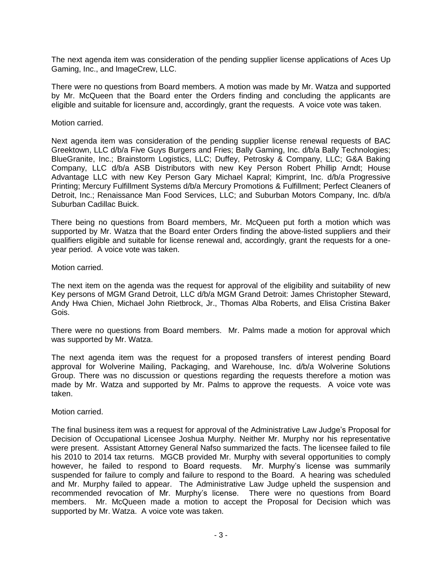The next agenda item was consideration of the pending supplier license applications of Aces Up Gaming, Inc., and ImageCrew, LLC.

There were no questions from Board members. A motion was made by Mr. Watza and supported by Mr. McQueen that the Board enter the Orders finding and concluding the applicants are eligible and suitable for licensure and, accordingly, grant the requests. A voice vote was taken.

#### Motion carried.

Next agenda item was consideration of the pending supplier license renewal requests of BAC Greektown, LLC d/b/a Five Guys Burgers and Fries; Bally Gaming, Inc. d/b/a Bally Technologies; BlueGranite, Inc.; Brainstorm Logistics, LLC; Duffey, Petrosky & Company, LLC; G&A Baking Company, LLC d/b/a ASB Distributors with new Key Person Robert Phillip Arndt; House Advantage LLC with new Key Person Gary Michael Kapral; Kimprint, Inc. d/b/a Progressive Printing; Mercury Fulfillment Systems d/b/a Mercury Promotions & Fulfillment; Perfect Cleaners of Detroit, Inc.; Renaissance Man Food Services, LLC; and Suburban Motors Company, Inc. d/b/a Suburban Cadillac Buick.

There being no questions from Board members, Mr. McQueen put forth a motion which was supported by Mr. Watza that the Board enter Orders finding the above-listed suppliers and their qualifiers eligible and suitable for license renewal and, accordingly, grant the requests for a oneyear period. A voice vote was taken.

#### Motion carried.

The next item on the agenda was the request for approval of the eligibility and suitability of new Key persons of MGM Grand Detroit, LLC d/b/a MGM Grand Detroit: James Christopher Steward, Andy Hwa Chien, Michael John Rietbrock, Jr., Thomas Alba Roberts, and Elisa Cristina Baker Gois.

There were no questions from Board members. Mr. Palms made a motion for approval which was supported by Mr. Watza.

The next agenda item was the request for a proposed transfers of interest pending Board approval for Wolverine Mailing, Packaging, and Warehouse, Inc. d/b/a Wolverine Solutions Group. There was no discussion or questions regarding the requests therefore a motion was made by Mr. Watza and supported by Mr. Palms to approve the requests. A voice vote was taken.

## Motion carried.

The final business item was a request for approval of the Administrative Law Judge's Proposal for Decision of Occupational Licensee Joshua Murphy. Neither Mr. Murphy nor his representative were present. Assistant Attorney General Nafso summarized the facts. The licensee failed to file his 2010 to 2014 tax returns. MGCB provided Mr. Murphy with several opportunities to comply however, he failed to respond to Board requests. Mr. Murphy's license was summarily suspended for failure to comply and failure to respond to the Board. A hearing was scheduled and Mr. Murphy failed to appear. The Administrative Law Judge upheld the suspension and recommended revocation of Mr. Murphy's license. There were no questions from Board members. Mr. McQueen made a motion to accept the Proposal for Decision which was supported by Mr. Watza. A voice vote was taken.